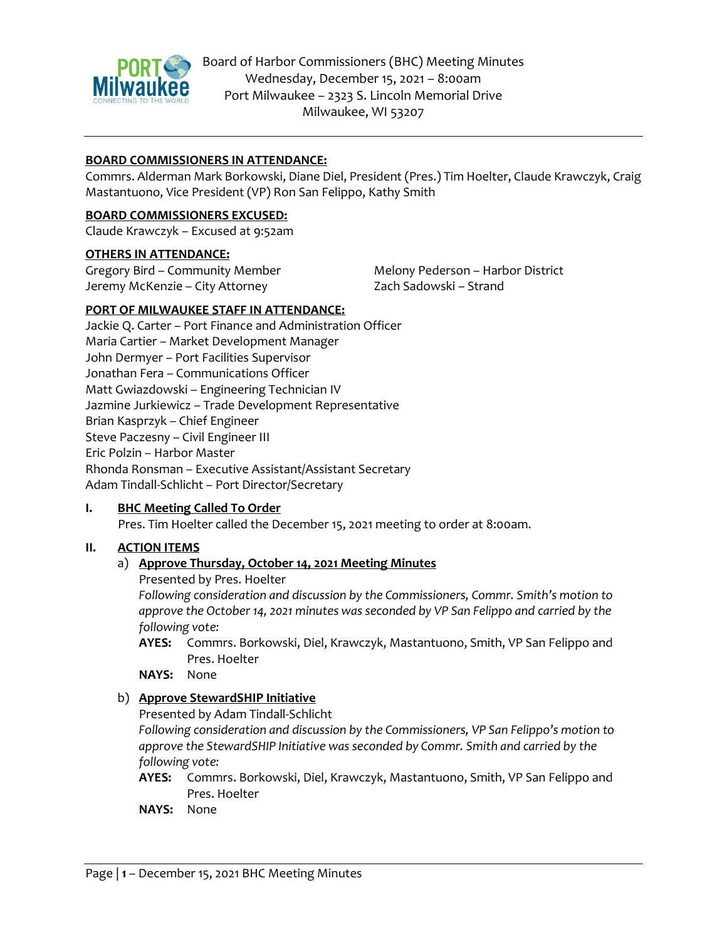

### **BOARD COMMISSIONERS IN ATTENDANCE:**

Commrs. Alderman Mark Borkowski, Diane Diel, President (Pres.) Tim Hoelter, Claude Krawczyk, Craig Mastantuono, Vice President (VP) Ron San Felippo, Kathy Smith

#### **BOARD COMMISSIONERS EXCUSED:**

Claude Krawczyk – Excused at 9:52am

#### **OTHERS IN ATTENDANCE:**

Gregory Bird – Community Member Jeremy McKenzie – City Attorney

Melony Pederson – Harbor District Zach Sadowski – Strand

### **PORT OF MILWAUKEE STAFF IN ATTENDANCE:**

Jackie Q. Carter – Port Finance and Administration Officer Maria Cartier – Market Development Manager John Dermyer – Port Facilities Supervisor Jonathan Fera – Communications Officer Matt Gwiazdowski – Engineering Technician IV Jazmine Jurkiewicz – Trade Development Representative Brian Kasprzyk – Chief Engineer Steve Paczesny – Civil Engineer III Eric Polzin – Harbor Master Rhonda Ronsman – Executive Assistant/Assistant Secretary Adam Tindall-Schlicht – Port Director/Secretary

### **I. BHC Meeting Called To Order**

Pres. Tim Hoelter called the December 15, 2021 meeting to order at 8:00am.

### **II. ACTION ITEMS**

### a) **Approve Thursday, October 14, 2021 Meeting Minutes**

Presented by Pres. Hoelter

*Following consideration and discussion by the Commissioners, Commr. Smith's motion to approve the October 14, 2021 minutes was seconded by VP San Felippo and carried by the following vote:* 

**AYES:** Commrs. Borkowski, Diel, Krawczyk, Mastantuono, Smith, VP San Felippo and Pres. Hoelter

**NAYS:** None

### b) **Approve StewardSHIP Initiative**

Presented by Adam Tindall-Schlicht

*Following consideration and discussion by the Commissioners, VP San Felippo's motion to approve the StewardSHIP Initiative was seconded by Commr. Smith and carried by the following vote:* 

- **AYES:** Commrs. Borkowski, Diel, Krawczyk, Mastantuono, Smith, VP San Felippo and Pres. Hoelter
- **NAYS:** None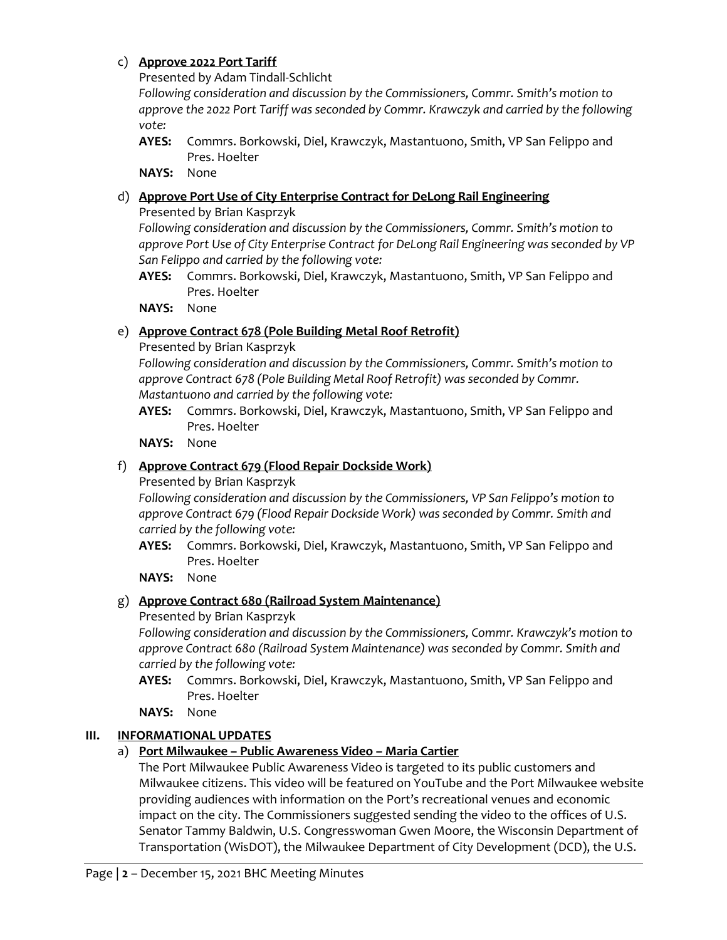### c) **Approve 2022 Port Tariff**

Presented by Adam Tindall-Schlicht

*Following consideration and discussion by the Commissioners, Commr. Smith's motion to approve the 2022 Port Tariff was seconded by Commr. Krawczyk and carried by the following vote:* 

**AYES:** Commrs. Borkowski, Diel, Krawczyk, Mastantuono, Smith, VP San Felippo and Pres. Hoelter

**NAYS:** None

## d) **Approve Port Use of City Enterprise Contract for DeLong Rail Engineering**

Presented by Brian Kasprzyk

*Following consideration and discussion by the Commissioners, Commr. Smith's motion to approve Port Use of City Enterprise Contract for DeLong Rail Engineering was seconded by VP San Felippo and carried by the following vote:* 

**AYES:** Commrs. Borkowski, Diel, Krawczyk, Mastantuono, Smith, VP San Felippo and Pres. Hoelter

**NAYS:** None

## e) **Approve Contract 678 (Pole Building Metal Roof Retrofit)**

Presented by Brian Kasprzyk

*Following consideration and discussion by the Commissioners, Commr. Smith's motion to approve Contract 678 (Pole Building Metal Roof Retrofit) was seconded by Commr. Mastantuono and carried by the following vote:* 

**AYES:** Commrs. Borkowski, Diel, Krawczyk, Mastantuono, Smith, VP San Felippo and Pres. Hoelter

**NAYS:** None

# f) **Approve Contract 679 (Flood Repair Dockside Work)**

Presented by Brian Kasprzyk

*Following consideration and discussion by the Commissioners, VP San Felippo's motion to approve Contract 679 (Flood Repair Dockside Work) was seconded by Commr. Smith and carried by the following vote:* 

**AYES:** Commrs. Borkowski, Diel, Krawczyk, Mastantuono, Smith, VP San Felippo and Pres. Hoelter

**NAYS:** None

# g) **Approve Contract 680 (Railroad System Maintenance)**

Presented by Brian Kasprzyk

*Following consideration and discussion by the Commissioners, Commr. Krawczyk's motion to approve Contract 680 (Railroad System Maintenance) was seconded by Commr. Smith and carried by the following vote:* 

**AYES:** Commrs. Borkowski, Diel, Krawczyk, Mastantuono, Smith, VP San Felippo and Pres. Hoelter

**NAYS:** None

# **III. INFORMATIONAL UPDATES**

# a) **Port Milwaukee – Public Awareness Video – Maria Cartier**

The Port Milwaukee Public Awareness Video is targeted to its public customers and Milwaukee citizens. This video will be featured on YouTube and the Port Milwaukee website providing audiences with information on the Port's recreational venues and economic impact on the city. The Commissioners suggested sending the video to the offices of U.S. Senator Tammy Baldwin, U.S. Congresswoman Gwen Moore, the Wisconsin Department of Transportation (WisDOT), the Milwaukee Department of City Development (DCD), the U.S.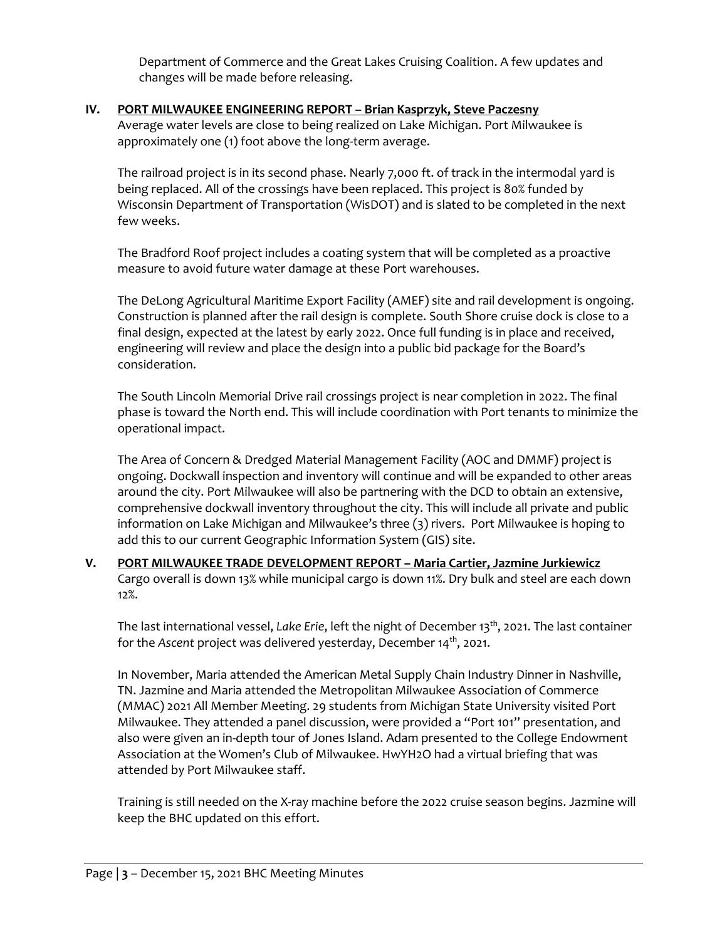Department of Commerce and the Great Lakes Cruising Coalition. A few updates and changes will be made before releasing.

### **IV. PORT MILWAUKEE ENGINEERING REPORT – Brian Kasprzyk, Steve Paczesny**

Average water levels are close to being realized on Lake Michigan. Port Milwaukee is approximately one (1) foot above the long-term average.

The railroad project is in its second phase. Nearly 7,000 ft. of track in the intermodal yard is being replaced. All of the crossings have been replaced. This project is 80% funded by Wisconsin Department of Transportation (WisDOT) and is slated to be completed in the next few weeks.

The Bradford Roof project includes a coating system that will be completed as a proactive measure to avoid future water damage at these Port warehouses.

The DeLong Agricultural Maritime Export Facility (AMEF) site and rail development is ongoing. Construction is planned after the rail design is complete. South Shore cruise dock is close to a final design, expected at the latest by early 2022. Once full funding is in place and received, engineering will review and place the design into a public bid package for the Board's consideration.

The South Lincoln Memorial Drive rail crossings project is near completion in 2022. The final phase is toward the North end. This will include coordination with Port tenants to minimize the operational impact.

The Area of Concern & Dredged Material Management Facility (AOC and DMMF) project is ongoing. Dockwall inspection and inventory will continue and will be expanded to other areas around the city. Port Milwaukee will also be partnering with the DCD to obtain an extensive, comprehensive dockwall inventory throughout the city. This will include all private and public information on Lake Michigan and Milwaukee's three (3) rivers. Port Milwaukee is hoping to add this to our current Geographic Information System (GIS) site.

**V. PORT MILWAUKEE TRADE DEVELOPMENT REPORT – Maria Cartier, Jazmine Jurkiewicz** Cargo overall is down 13% while municipal cargo is down 11%. Dry bulk and steel are each down 12%.

The last international vessel, *Lake Erie*, left the night of December 13<sup>th</sup>, 2021. The last container for the *Ascent* project was delivered yesterday, December 14<sup>th</sup>, 2021.

In November, Maria attended the American Metal Supply Chain Industry Dinner in Nashville, TN. Jazmine and Maria attended the Metropolitan Milwaukee Association of Commerce (MMAC) 2021 All Member Meeting. 29 students from Michigan State University visited Port Milwaukee. They attended a panel discussion, were provided a "Port 101" presentation, and also were given an in-depth tour of Jones Island. Adam presented to the College Endowment Association at the Women's Club of Milwaukee. HwYH2O had a virtual briefing that was attended by Port Milwaukee staff.

Training is still needed on the X-ray machine before the 2022 cruise season begins. Jazmine will keep the BHC updated on this effort.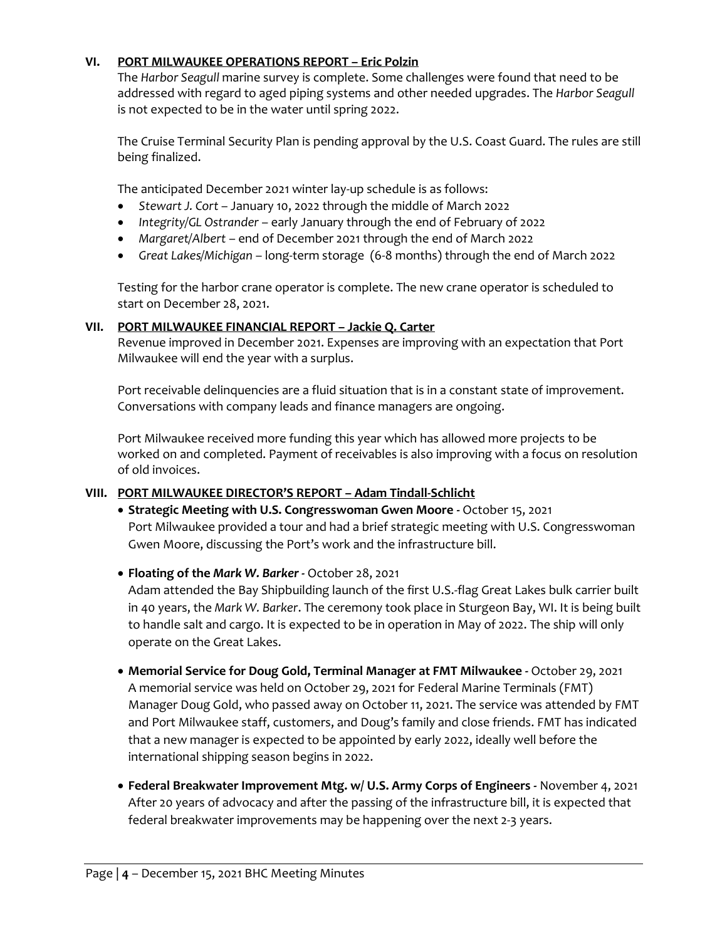### **VI. PORT MILWAUKEE OPERATIONS REPORT – Eric Polzin**

The *Harbor Seagull* marine survey is complete. Some challenges were found that need to be addressed with regard to aged piping systems and other needed upgrades. The *Harbor Seagull* is not expected to be in the water until spring 2022.

The Cruise Terminal Security Plan is pending approval by the U.S. Coast Guard. The rules are still being finalized.

The anticipated December 2021 winter lay-up schedule is as follows:

- *Stewart J. Cort* January 10, 2022 through the middle of March 2022
- *Integrity/GL Ostrander* early January through the end of February of 2022
- *Margaret/Albert* end of December 2021 through the end of March 2022
- *Great Lakes/Michigan* long-term storage (6-8 months) through the end of March 2022

Testing for the harbor crane operator is complete. The new crane operator is scheduled to start on December 28, 2021.

### **VII. PORT MILWAUKEE FINANCIAL REPORT – Jackie Q. Carter**

Revenue improved in December 2021. Expenses are improving with an expectation that Port Milwaukee will end the year with a surplus.

Port receivable delinquencies are a fluid situation that is in a constant state of improvement. Conversations with company leads and finance managers are ongoing.

Port Milwaukee received more funding this year which has allowed more projects to be worked on and completed. Payment of receivables is also improving with a focus on resolution of old invoices.

### **VIII. PORT MILWAUKEE DIRECTOR'S REPORT – Adam Tindall-Schlicht**

- **Strategic Meeting with U.S. Congresswoman Gwen Moore -** October 15, 2021 Port Milwaukee provided a tour and had a brief strategic meeting with U.S. Congresswoman Gwen Moore, discussing the Port's work and the infrastructure bill.
- **Floating of the** *Mark W. Barker -* October 28, 2021

Adam attended the Bay Shipbuilding launch of the first U.S.-flag Great Lakes bulk carrier built in 40 years, the *Mark W. Barker*. The ceremony took place in Sturgeon Bay, WI. It is being built to handle salt and cargo. It is expected to be in operation in May of 2022. The ship will only operate on the Great Lakes.

- **Memorial Service for Doug Gold, Terminal Manager at FMT Milwaukee -** October 29, 2021 A memorial service was held on October 29, 2021 for Federal Marine Terminals (FMT) Manager Doug Gold, who passed away on October 11, 2021. The service was attended by FMT and Port Milwaukee staff, customers, and Doug's family and close friends. FMT has indicated that a new manager is expected to be appointed by early 2022, ideally well before the international shipping season begins in 2022.
- **Federal Breakwater Improvement Mtg. w/ U.S. Army Corps of Engineers -** November 4, 2021 After 20 years of advocacy and after the passing of the infrastructure bill, it is expected that federal breakwater improvements may be happening over the next 2-3 years.